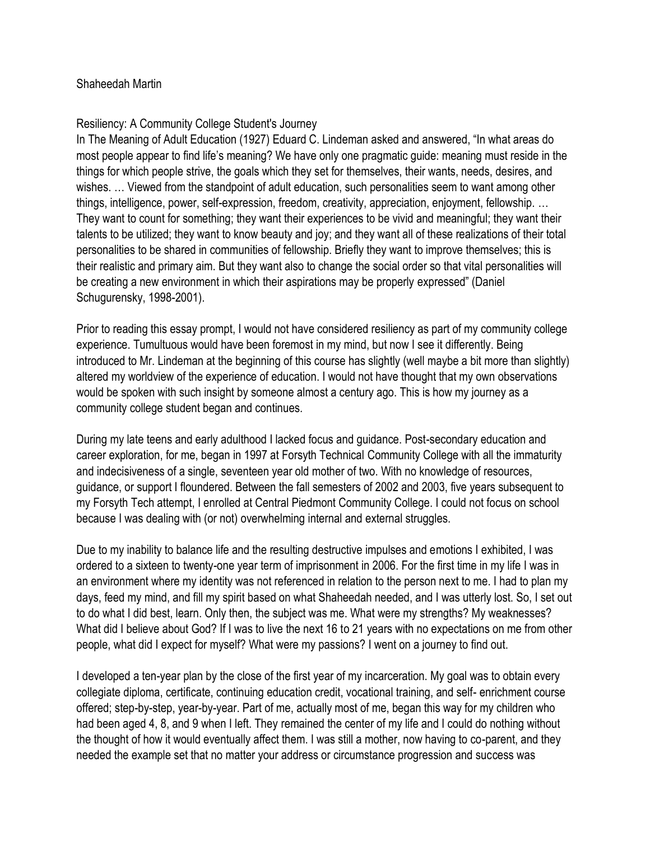## Shaheedah Martin

## Resiliency: A Community College Student's Journey

In The Meaning of Adult Education (1927) Eduard C. Lindeman asked and answered, "In what areas do most people appear to find life's meaning? We have only one pragmatic guide: meaning must reside in the things for which people strive, the goals which they set for themselves, their wants, needs, desires, and wishes. … Viewed from the standpoint of adult education, such personalities seem to want among other things, intelligence, power, self-expression, freedom, creativity, appreciation, enjoyment, fellowship. … They want to count for something; they want their experiences to be vivid and meaningful; they want their talents to be utilized; they want to know beauty and joy; and they want all of these realizations of their total personalities to be shared in communities of fellowship. Briefly they want to improve themselves; this is their realistic and primary aim. But they want also to change the social order so that vital personalities will be creating a new environment in which their aspirations may be properly expressed" (Daniel Schugurensky, 1998-2001).

Prior to reading this essay prompt, I would not have considered resiliency as part of my community college experience. Tumultuous would have been foremost in my mind, but now I see it differently. Being introduced to Mr. Lindeman at the beginning of this course has slightly (well maybe a bit more than slightly) altered my worldview of the experience of education. I would not have thought that my own observations would be spoken with such insight by someone almost a century ago. This is how my journey as a community college student began and continues.

During my late teens and early adulthood I lacked focus and guidance. Post-secondary education and career exploration, for me, began in 1997 at Forsyth Technical Community College with all the immaturity and indecisiveness of a single, seventeen year old mother of two. With no knowledge of resources, guidance, or support I floundered. Between the fall semesters of 2002 and 2003, five years subsequent to my Forsyth Tech attempt, I enrolled at Central Piedmont Community College. I could not focus on school because I was dealing with (or not) overwhelming internal and external struggles.

Due to my inability to balance life and the resulting destructive impulses and emotions I exhibited, I was ordered to a sixteen to twenty-one year term of imprisonment in 2006. For the first time in my life I was in an environment where my identity was not referenced in relation to the person next to me. I had to plan my days, feed my mind, and fill my spirit based on what Shaheedah needed, and I was utterly lost. So, I set out to do what I did best, learn. Only then, the subject was me. What were my strengths? My weaknesses? What did I believe about God? If I was to live the next 16 to 21 years with no expectations on me from other people, what did I expect for myself? What were my passions? I went on a journey to find out.

I developed a ten-year plan by the close of the first year of my incarceration. My goal was to obtain every collegiate diploma, certificate, continuing education credit, vocational training, and self- enrichment course offered; step-by-step, year-by-year. Part of me, actually most of me, began this way for my children who had been aged 4, 8, and 9 when I left. They remained the center of my life and I could do nothing without the thought of how it would eventually affect them. I was still a mother, now having to co-parent, and they needed the example set that no matter your address or circumstance progression and success was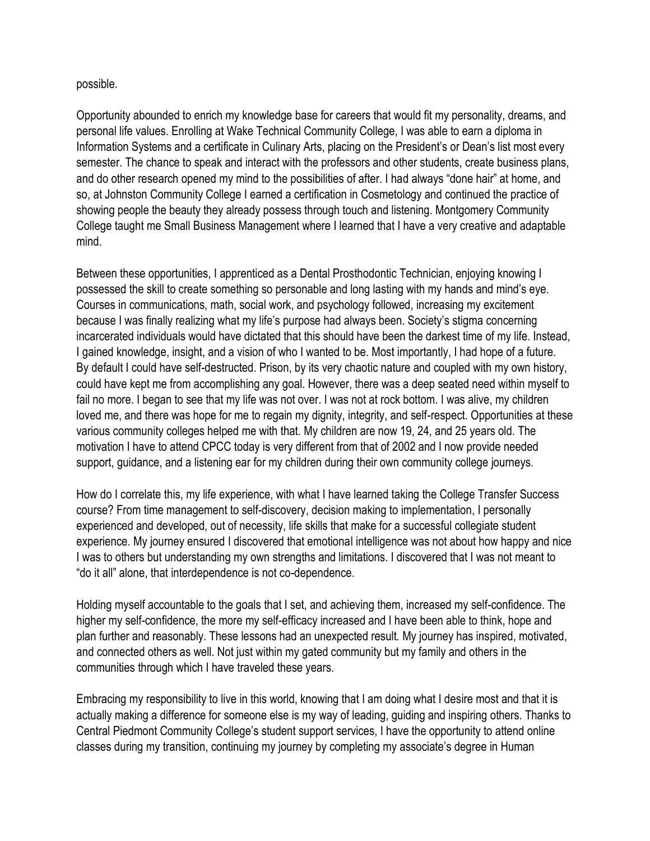## possible.

Opportunity abounded to enrich my knowledge base for careers that would fit my personality, dreams, and personal life values. Enrolling at Wake Technical Community College, I was able to earn a diploma in Information Systems and a certificate in Culinary Arts, placing on the President's or Dean's list most every semester. The chance to speak and interact with the professors and other students, create business plans, and do other research opened my mind to the possibilities of after. I had always "done hair" at home, and so, at Johnston Community College I earned a certification in Cosmetology and continued the practice of showing people the beauty they already possess through touch and listening. Montgomery Community College taught me Small Business Management where I learned that I have a very creative and adaptable mind.

Between these opportunities, I apprenticed as a Dental Prosthodontic Technician, enjoying knowing I possessed the skill to create something so personable and long lasting with my hands and mind's eye. Courses in communications, math, social work, and psychology followed, increasing my excitement because I was finally realizing what my life's purpose had always been. Society's stigma concerning incarcerated individuals would have dictated that this should have been the darkest time of my life. Instead, I gained knowledge, insight, and a vision of who I wanted to be. Most importantly, I had hope of a future. By default I could have self-destructed. Prison, by its very chaotic nature and coupled with my own history, could have kept me from accomplishing any goal. However, there was a deep seated need within myself to fail no more. I began to see that my life was not over. I was not at rock bottom. I was alive, my children loved me, and there was hope for me to regain my dignity, integrity, and self-respect. Opportunities at these various community colleges helped me with that. My children are now 19, 24, and 25 years old. The motivation I have to attend CPCC today is very different from that of 2002 and I now provide needed support, quidance, and a listening ear for my children during their own community college journeys.

How do I correlate this, my life experience, with what I have learned taking the College Transfer Success course? From time management to self-discovery, decision making to implementation, I personally experienced and developed, out of necessity, life skills that make for a successful collegiate student experience. My journey ensured I discovered that emotional intelligence was not about how happy and nice I was to others but understanding my own strengths and limitations. I discovered that I was not meant to "do it all" alone, that interdependence is not co-dependence.

Holding myself accountable to the goals that I set, and achieving them, increased my self-confidence. The higher my self-confidence, the more my self-efficacy increased and I have been able to think, hope and plan further and reasonably. These lessons had an unexpected result. My journey has inspired, motivated, and connected others as well. Not just within my gated community but my family and others in the communities through which I have traveled these years.

Embracing my responsibility to live in this world, knowing that I am doing what I desire most and that it is actually making a difference for someone else is my way of leading, guiding and inspiring others. Thanks to Central Piedmont Community College's student support services, I have the opportunity to attend online classes during my transition, continuing my journey by completing my associate's degree in Human